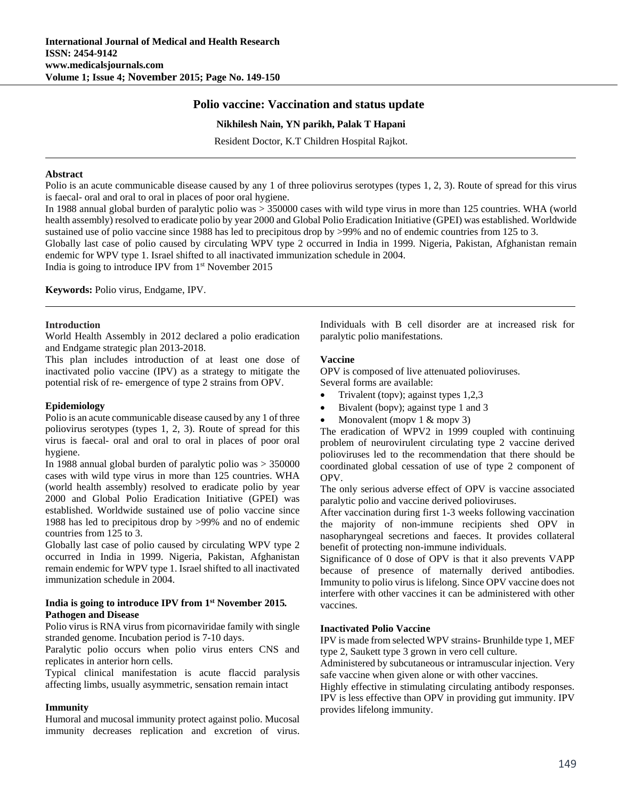# **Polio vaccine: Vaccination and status update**

## **Nikhilesh Nain, YN parikh, Palak T Hapani**

Resident Doctor, K.T Children Hospital Rajkot.

### **Abstract**

Polio is an acute communicable disease caused by any 1 of three poliovirus serotypes (types 1, 2, 3). Route of spread for this virus is faecal- oral and oral to oral in places of poor oral hygiene.

In 1988 annual global burden of paralytic polio was > 350000 cases with wild type virus in more than 125 countries. WHA (world health assembly) resolved to eradicate polio by year 2000 and Global Polio Eradication Initiative (GPEI) was established. Worldwide sustained use of polio vaccine since 1988 has led to precipitous drop by >99% and no of endemic countries from 125 to 3.

Globally last case of polio caused by circulating WPV type 2 occurred in India in 1999. Nigeria, Pakistan, Afghanistan remain endemic for WPV type 1. Israel shifted to all inactivated immunization schedule in 2004.

India is going to introduce IPV from 1st November 2015

**Keywords:** Polio virus, Endgame, IPV.

#### **Introduction**

World Health Assembly in 2012 declared a polio eradication and Endgame strategic plan 2013-2018.

This plan includes introduction of at least one dose of inactivated polio vaccine (IPV) as a strategy to mitigate the potential risk of re- emergence of type 2 strains from OPV.

## **Epidemiology**

Polio is an acute communicable disease caused by any 1 of three poliovirus serotypes (types 1, 2, 3). Route of spread for this virus is faecal- oral and oral to oral in places of poor oral hygiene.

In 1988 annual global burden of paralytic polio was > 350000 cases with wild type virus in more than 125 countries. WHA (world health assembly) resolved to eradicate polio by year 2000 and Global Polio Eradication Initiative (GPEI) was established. Worldwide sustained use of polio vaccine since 1988 has led to precipitous drop by >99% and no of endemic countries from 125 to 3.

Globally last case of polio caused by circulating WPV type 2 occurred in India in 1999. Nigeria, Pakistan, Afghanistan remain endemic for WPV type 1. Israel shifted to all inactivated immunization schedule in 2004.

## **India is going to introduce IPV from 1st November 2015***.*  **Pathogen and Disease**

Polio virus is RNA virus from picornaviridae family with single stranded genome. Incubation period is 7-10 days.

Paralytic polio occurs when polio virus enters CNS and replicates in anterior horn cells.

Typical clinical manifestation is acute flaccid paralysis affecting limbs, usually asymmetric, sensation remain intact

#### **Immunity**

Humoral and mucosal immunity protect against polio. Mucosal immunity decreases replication and excretion of virus.

Individuals with B cell disorder are at increased risk for paralytic polio manifestations.

#### **Vaccine**

OPV is composed of live attenuated polioviruses. Several forms are available:

- Trivalent (topv); against types 1,2,3
- Bivalent (bopv); against type 1 and 3
- Monovalent (mopy  $1 & \text{money } 3$ )

The eradication of WPV2 in 1999 coupled with continuing problem of neurovirulent circulating type 2 vaccine derived polioviruses led to the recommendation that there should be coordinated global cessation of use of type 2 component of OPV.

The only serious adverse effect of OPV is vaccine associated paralytic polio and vaccine derived polioviruses.

After vaccination during first 1-3 weeks following vaccination the majority of non-immune recipients shed OPV in nasopharyngeal secretions and faeces. It provides collateral benefit of protecting non-immune individuals.

Significance of 0 dose of OPV is that it also prevents VAPP because of presence of maternally derived antibodies. Immunity to polio virus is lifelong. Since OPV vaccine does not interfere with other vaccines it can be administered with other vaccines.

#### **Inactivated Polio Vaccine**

IPV is made from selected WPV strains- Brunhilde type 1, MEF type 2, Saukett type 3 grown in vero cell culture.

Administered by subcutaneous or intramuscular injection. Very safe vaccine when given alone or with other vaccines.

Highly effective in stimulating circulating antibody responses. IPV is less effective than OPV in providing gut immunity. IPV provides lifelong immunity.